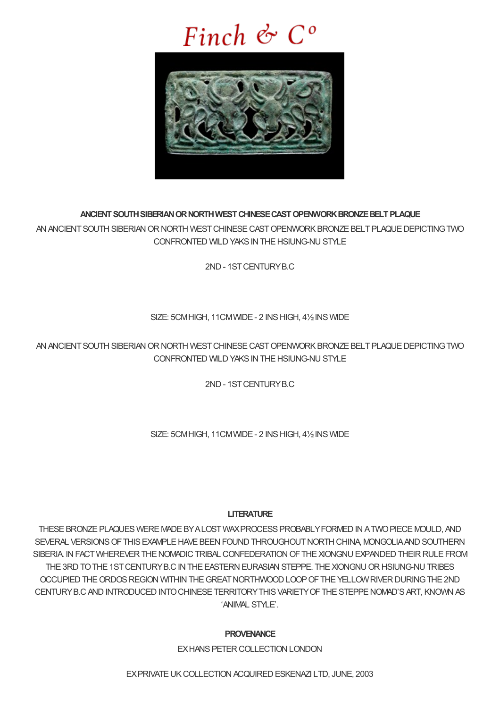# Finch  $\mathfrak{G}$   $C^{\circ}$



## **ANCIENTSOUTHSIBERIANORNORTHWESTCHINESECASTOPENWORKBRONZEBELTPLAQUE**

AN ANCIENT SOUTH SIBERIAN OR NORTH WEST CHINESE CAST OPENWORK BRONZE BELT PLAQUE DEPICTING TWO CONFRONTED WILD YAKS IN THE HSIUNG-NU STYLE

2ND- 1STCENTURYB.C

## SIZE: 5CM HIGH, 11CM WIDE - 2 INS HIGH, 41/2 INS WIDE

AN ANCIENT SOUTH SIBERIAN OR NORTH WEST CHINESE CAST OPENWORK BRONZE BELT PLAQUE DEPICTING TWO CONFRONTED WILD YAKS IN THE HSIUNG-NU STYLE

2ND- 1STCENTURYB.C

SIZE: 5CM HIGH, 11CM WIDE - 2 INS HIGH, 41/2 INS WIDE

## **LITERATURE**

THESE BRONZE PLAQUES WERE MADE BY A LOST WAX PROCESS PROBABLY FORMED IN A TWO PIECE MOULD, AND SEVERAL VERSIONS OF THIS EXAMPLE HAVE BEEN FOUND THROUGHOUT NORTH CHINA, MONGOLIA AND SOUTHERN SIBERIA. IN FACT WHEREVER THE NOMADIC TRIBAL CONFEDERATION OF THE XIONGNU EXPANDED THEIR RULE FROM THE 3RD TO THE 1ST CENTURY B.C IN THE EASTERN EURASIAN STEPPE. THE XIONGNU OR HSIUNG-NUTRIBES OCCUPIED THE ORDOS REGION WITHIN THE GREAT NORTHWOOD LOOP OF THE YELLOW RIVER DURING THE 2ND CENTURY B.C AND INTRODUCED INTO CHINESE TERRITORY THIS VARIETY OF THE STEPPE NOMAD'S ART, KNOWN AS 'ANIMAL STYLE'

## **PROVENANCE**

EXHANS PETER COLLECTION LONDON

EXPRIVATE UK COLLECTION ACQUIRED ESKENAZI LTD, JUNE, 2003